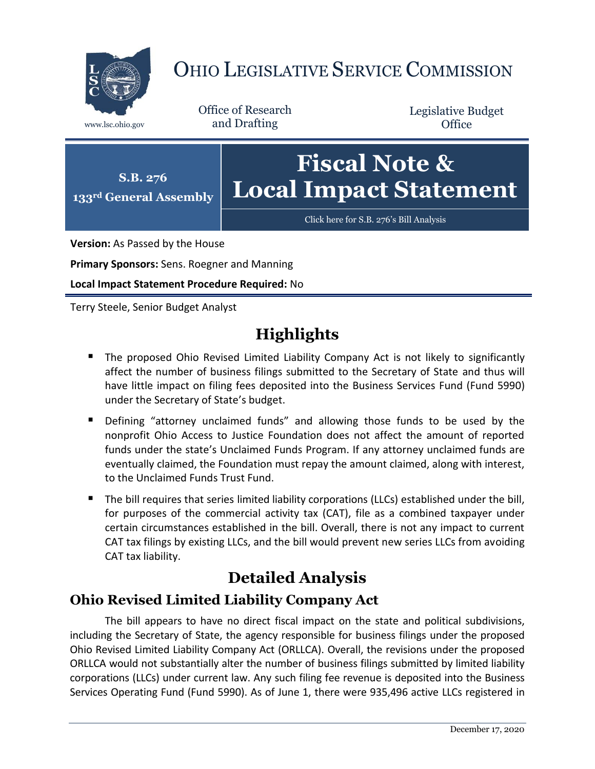

# OHIO LEGISLATIVE SERVICE COMMISSION

Office of Research www.lsc.ohio.gov and Drafting

Legislative Budget **Office** 



**Version:** As Passed by the House

**Primary Sponsors:** Sens. Roegner and Manning

**Local Impact Statement Procedure Required:** No

Terry Steele, Senior Budget Analyst

## **Highlights**

- **The proposed Ohio Revised Limited Liability Company Act is not likely to significantly** affect the number of business filings submitted to the Secretary of State and thus will have little impact on filing fees deposited into the Business Services Fund (Fund 5990) under the Secretary of State's budget.
- Defining "attorney unclaimed funds" and allowing those funds to be used by the nonprofit Ohio Access to Justice Foundation does not affect the amount of reported funds under the state's Unclaimed Funds Program. If any attorney unclaimed funds are eventually claimed, the Foundation must repay the amount claimed, along with interest, to the Unclaimed Funds Trust Fund.
- The bill requires that series limited liability corporations (LLCs) established under the bill, for purposes of the commercial activity tax (CAT), file as a combined taxpayer under certain circumstances established in the bill. Overall, there is not any impact to current CAT tax filings by existing LLCs, and the bill would prevent new series LLCs from avoiding CAT tax liability.

### **Detailed Analysis**

#### **Ohio Revised Limited Liability Company Act**

The bill appears to have no direct fiscal impact on the state and political subdivisions, including the Secretary of State, the agency responsible for business filings under the proposed Ohio Revised Limited Liability Company Act (ORLLCA). Overall, the revisions under the proposed ORLLCA would not substantially alter the number of business filings submitted by limited liability corporations (LLCs) under current law. Any such filing fee revenue is deposited into the Business Services Operating Fund (Fund 5990). As of June 1, there were 935,496 active LLCs registered in